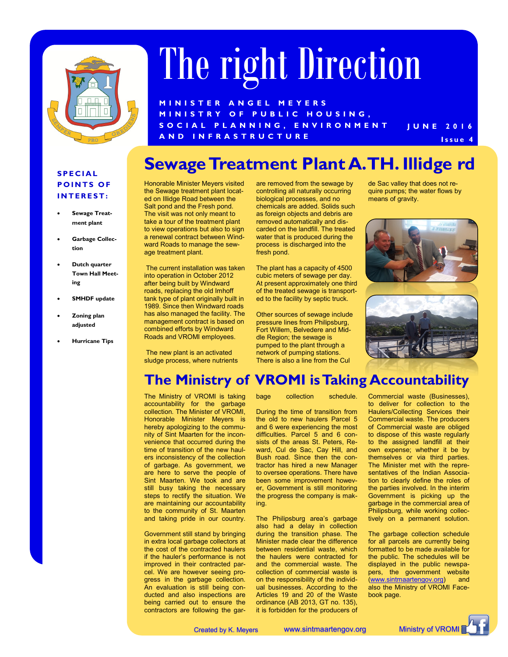

# The right Direction

**J U N E 2 0 1 6 M I N I S T E R A N G E L M E Y E R S M I N I S T R Y O F P U B L I C H O U S I N G , S O C I A L P L A N N I N G , E N V I R O N M E N T A N D I N F R A S T R U C T U R E I s s u e 4** 

#### **Sewage Treatment Plant A. TH. Illidge rd**

#### **S P E C I A L POINTS OF I N T E R E S T :**

- **Sewage Treatment plant**
- **Garbage Collection**
- **Dutch quarter Town Hall Meeting**
- **SMHDF update**
- **Zoning plan adjusted**
- **Hurricane Tips**

Honorable Minister Meyers visited the Sewage treatment plant located on Illidge Road between the Salt pond and the Fresh pond. The visit was not only meant to take a tour of the treatment plant to view operations but also to sign a renewal contract between Windward Roads to manage the sewage treatment plant.

The current installation was taken into operation in October 2012 after being built by Windward roads, replacing the old Imhoff tank type of plant originally built in 1989. Since then Windward roads has also managed the facility. The management contract is based on combined efforts by Windward Roads and VROMI employees.

The new plant is an activated sludge process, where nutrients are removed from the sewage by controlling all naturally occurring biological processes, and no chemicals are added. Solids such as foreign objects and debris are removed automatically and discarded on the landfill. The treated water that is produced during the process is discharged into the fresh pond.

The plant has a capacity of 4500 cubic meters of sewage per day. At present approximately one third of the treated sewage is transported to the facility by septic truck.

Other sources of sewage include pressure lines from Philipsburg, Fort Willem, Belvedere and Middle Region; the sewage is pumped to the plant through a network of pumping stations. There is also a line from the Cul

de Sac valley that does not require pumps; the water flows by means of gravity.



#### **The Ministry of VROMI is Taking Accountability**

The Ministry of VROMI is taking accountability for the garbage collection. The Minister of VROMI, Honorable Minister Meyers is hereby apologizing to the community of Sint Maarten for the inconvenience that occurred during the time of transition of the new haulers inconsistency of the collection of garbage. As government, we are here to serve the people of Sint Maarten. We took and are still busy taking the necessary steps to rectify the situation. We are maintaining our accountability to the community of St. Maarten and taking pride in our country.

Government still stand by bringing in extra local garbage collectors at the cost of the contracted haulers if the hauler's performance is not improved in their contracted parcel. We are however seeing progress in the garbage collection. An evaluation is still being conducted and also inspections are being carried out to ensure the contractors are following the garbage collection schedule.

During the time of transition from the old to new haulers Parcel 5 and 6 were experiencing the most difficulties. Parcel 5 and 6 consists of the areas St. Peters, Reward, Cul de Sac, Cay Hill, and Bush road. Since then the contractor has hired a new Manager to oversee operations. There have been some improvement however, Government is still monitoring the progress the company is making.

The Philipsburg area's garbage also had a delay in collection during the transition phase. The Minister made clear the difference between residential waste, which the haulers were contracted for and the commercial waste. The collection of commercial waste is on the responsibility of the individual businesses. According to the Articles 19 and 20 of the Waste ordinance (AB 2013, GT no. 135), it is forbidden for the producers of

Commercial waste (Businesses), to deliver for collection to the Haulers/Collecting Services their Commercial waste. The producers of Commercial waste are obliged to dispose of this waste regularly to the assigned landfill at their own expense; whether it be by themselves or via third parties. The Minister met with the representatives of the Indian Association to clearly define the roles of the parties involved. In the interim Government is picking up the garbage in the commercial area of Philipsburg, while working collectively on a permanent solution.

The garbage collection schedule for all parcels are currently being formatted to be made available for the public. The schedules will be displayed in the public newspapers, the government website ([www.sintmaartengov.org\)](http://www.sintmaartengov.org) and also the Ministry of VROMI Facebook page.

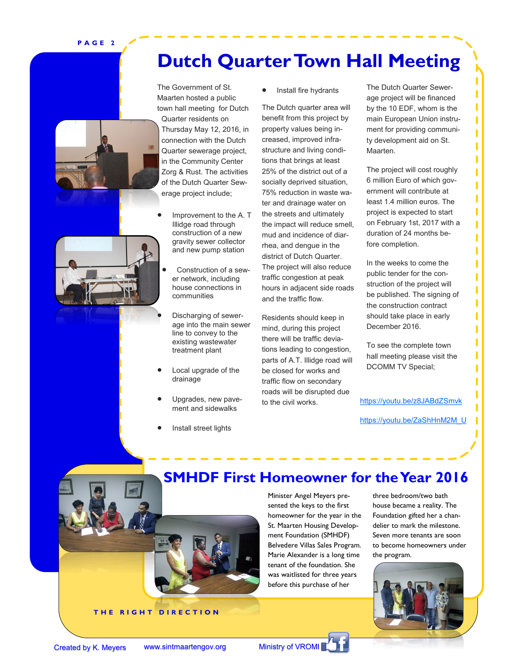**P A G E 2**

### **Dutch Quarter Town Hall Meeting**



The Government of St. Maarten hosted a public town hall meeting for Dutch

Quarter residents on Thursday May 12, 2016, in connection with the Dutch Quarter sewerage project, in the Community Center Zorg & Rust. The activities of the Dutch Quarter Sewerage project include;

- Improvement to the A. T Illidge road through construction of a new gravity sewer collector and new pump station
	- Construction of a sewer network, including house connections in communities
- Discharging of sewerage into the main sewer line to convey to the existing wastewater treatment plant
- Local upgrade of the drainage
- Upgrades, new pavement and sidewalks
- Install street lights

Install fire hydrants

The Dutch quarter area will benefit from this project by property values being increased, improved infrastructure and living conditions that brings at least 25% of the district out of a socially deprived situation, 75% reduction in waste water and drainage water on the streets and ultimately the impact will reduce smell, mud and incidence of diarrhea, and dengue in the district of Dutch Quarter. The project will also reduce traffic congestion at peak hours in adjacent side roads and the traffic flow.

Residents should keep in mind, during this project there will be traffic deviations leading to congestion, parts of A.T. Illidge road will be closed for works and traffic flow on secondary roads will be disrupted due to the civil works.

The Dutch Quarter Sewerage project will be financed by the 10 EDF, whom is the main European Union instrument for providing community development aid on St. Maarten.

Ī Π T Ī Ī Ī Ī

Ī Ī Ī

Π

Π

Π

The project will cost roughly 6 million Euro of which government will contribute at least 1.4 million euros. The project is expected to start on February 1st, 2017 with a duration of 24 months before completion.

In the weeks to come the public tender for the construction of the project will be published. The signing of the construction contract should take place in early December 2016.

To see the complete town hall meeting please visit the DCOMM TV Special;

<https://youtu.be/z8JABdZSmvk>

[https://youtu.be/ZaShHnM2M\\_U](https://youtu.be/ZaShHnM2M_U)



**SMHDF First Homeowner for the Year 2016**

Minister Angel Meyers presented the keys to the first homeowner for the year in the St. Maarten Housing Development Foundation (SMHDF) Belvedere Villas Sales Program. Marie Alexander is a long time tenant of the foundation. She was waitlisted for three years before this purchase of her

three bedroom/two bath house became a reality. The Foundation gifted her a chandelier to mark the milestone. Seven more tenants are soon to become homeowners under the program.



**THE RIGHT DIRECTION**